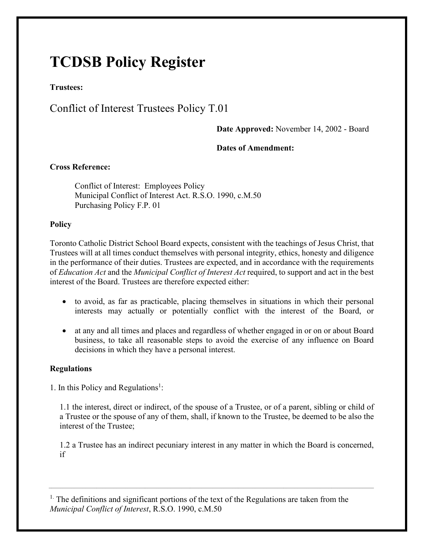# **TCDSB Policy Register**

**Trustees:** 

# Conflict of Interest Trustees Policy T.01

### **Date Approved:** November 14, 2002 - Board

### **Dates of Amendment:**

## **Cross Reference:**

Conflict of Interest: Employees Policy Municipal Conflict of Interest Act. R.S.O. 1990, c.M.50 Purchasing Policy F.P. 01

#### **Policy**

Toronto Catholic District School Board expects, consistent with the teachings of Jesus Christ, that Trustees will at all times conduct themselves with personal integrity, ethics, honesty and diligence in the performance of their duties. Trustees are expected, and in accordance with the requirements of *Education Act* and the *Municipal Conflict of Interest Act* required, to support and act in the best interest of the Board. Trustees are therefore expected either:

- to avoid, as far as practicable, placing themselves in situations in which their personal interests may actually or potentially conflict with the interest of the Board, or
- at any and all times and places and regardless of whether engaged in or on or about Board business, to take all reasonable steps to avoid the exercise of any influence on Board decisions in which they have a personal interest.

#### **Regulations**

1. In this Policy and Regulations<sup>1</sup>:

1.1 the interest, direct or indirect, of the spouse of a Trustee, or of a parent, sibling or child of a Trustee or the spouse of any of them, shall, if known to the Trustee, be deemed to be also the interest of the Trustee;

1.2 a Trustee has an indirect pecuniary interest in any matter in which the Board is concerned, if

<sup>1.</sup> The definitions and significant portions of the text of the Regulations are taken from the *Municipal Conflict of Interest*, R.S.O. 1990, c.M.50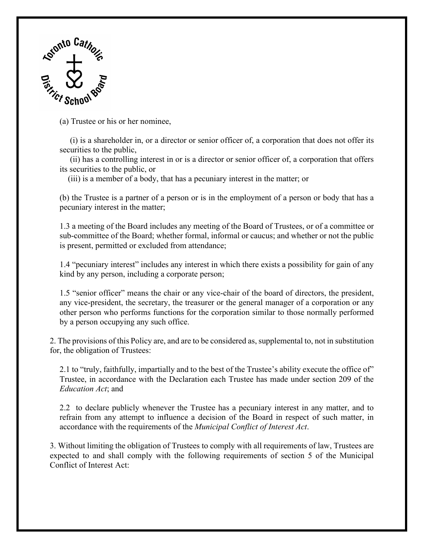

(a) Trustee or his or her nominee,

(i) is a shareholder in, or a director or senior officer of, a corporation that does not offer its securities to the public,

(ii) has a controlling interest in or is a director or senior officer of, a corporation that offers its securities to the public, or

(iii) is a member of a body, that has a pecuniary interest in the matter; or

(b) the Trustee is a partner of a person or is in the employment of a person or body that has a pecuniary interest in the matter;

1.3 a meeting of the Board includes any meeting of the Board of Trustees, or of a committee or sub-committee of the Board; whether formal, informal or caucus; and whether or not the public is present, permitted or excluded from attendance;

1.4 "pecuniary interest" includes any interest in which there exists a possibility for gain of any kind by any person, including a corporate person;

1.5 "senior officer" means the chair or any vice-chair of the board of directors, the president, any vice-president, the secretary, the treasurer or the general manager of a corporation or any other person who performs functions for the corporation similar to those normally performed by a person occupying any such office.

2. The provisions of this Policy are, and are to be considered as, supplemental to, not in substitution for, the obligation of Trustees:

2.1 to "truly, faithfully, impartially and to the best of the Trustee's ability execute the office of" Trustee, in accordance with the Declaration each Trustee has made under section 209 of the *Education Act*; and

2.2 to declare publicly whenever the Trustee has a pecuniary interest in any matter, and to refrain from any attempt to influence a decision of the Board in respect of such matter, in accordance with the requirements of the *Municipal Conflict of Interest Act*.

3. Without limiting the obligation of Trustees to comply with all requirements of law, Trustees are expected to and shall comply with the following requirements of section 5 of the Municipal Conflict of Interest Act: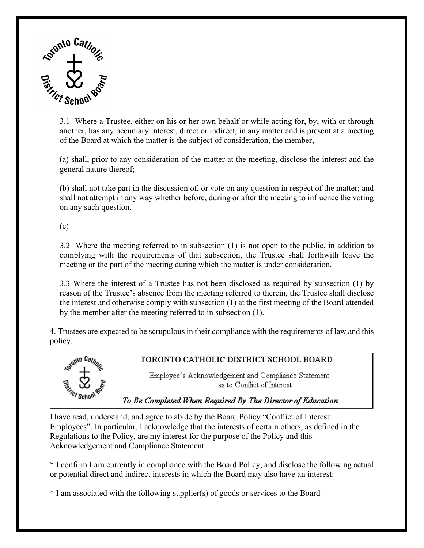

3.1 Where a Trustee, either on his or her own behalf or while acting for, by, with or through another, has any pecuniary interest, direct or indirect, in any matter and is present at a meeting of the Board at which the matter is the subject of consideration, the member,

(a) shall, prior to any consideration of the matter at the meeting, disclose the interest and the general nature thereof;

(b) shall not take part in the discussion of, or vote on any question in respect of the matter; and shall not attempt in any way whether before, during or after the meeting to influence the voting on any such question.

(c)

3.2 Where the meeting referred to in subsection (1) is not open to the public, in addition to complying with the requirements of that subsection, the Trustee shall forthwith leave the meeting or the part of the meeting during which the matter is under consideration.

3.3 Where the interest of a Trustee has not been disclosed as required by subsection (1) by reason of the Trustee's absence from the meeting referred to therein, the Trustee shall disclose the interest and otherwise comply with subsection (1) at the first meeting of the Board attended by the member after the meeting referred to in subsection (1).

4. Trustees are expected to be scrupulous in their compliance with the requirements of law and this policy.



I have read, understand, and agree to abide by the Board Policy "Conflict of Interest: Employees". In particular, I acknowledge that the interests of certain others, as defined in the Regulations to the Policy, are my interest for the purpose of the Policy and this Acknowledgement and Compliance Statement.

\* I confirm I am currently in compliance with the Board Policy, and disclose the following actual or potential direct and indirect interests in which the Board may also have an interest:

\* I am associated with the following supplier(s) of goods or services to the Board